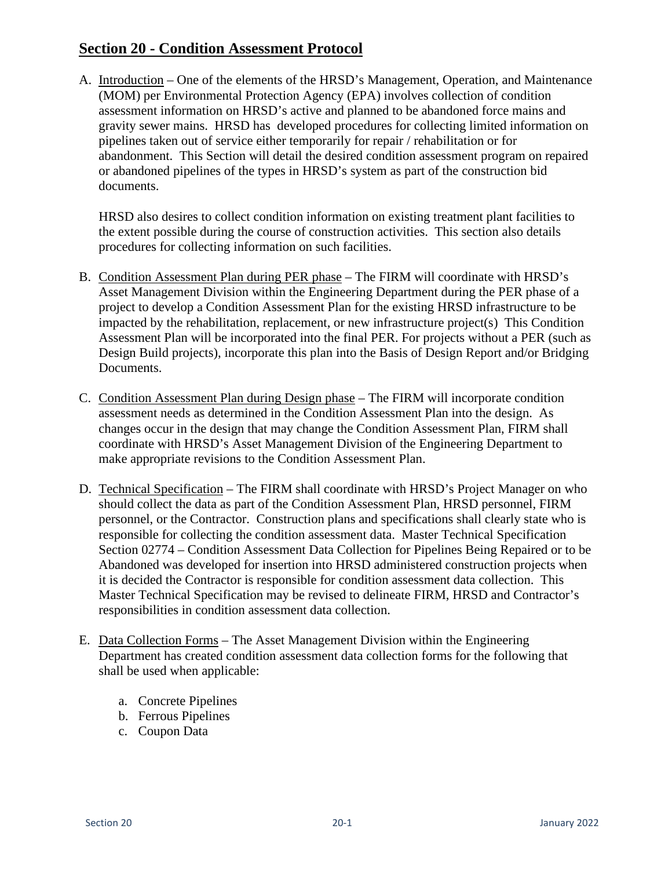## **Section 20 - Condition Assessment Protocol**

A. Introduction – One of the elements of the HRSD's Management, Operation, and Maintenance (MOM) per Environmental Protection Agency (EPA) involves collection of condition assessment information on HRSD's active and planned to be abandoned force mains and gravity sewer mains. HRSD has developed procedures for collecting limited information on pipelines taken out of service either temporarily for repair / rehabilitation or for abandonment. This Section will detail the desired condition assessment program on repaired or abandoned pipelines of the types in HRSD's system as part of the construction bid documents.

HRSD also desires to collect condition information on existing treatment plant facilities to the extent possible during the course of construction activities. This section also details procedures for collecting information on such facilities.

- B. Condition Assessment Plan during PER phase The FIRM will coordinate with HRSD's Asset Management Division within the Engineering Department during the PER phase of a project to develop a Condition Assessment Plan for the existing HRSD infrastructure to be impacted by the rehabilitation, replacement, or new infrastructure project(s) This Condition Assessment Plan will be incorporated into the final PER. For projects without a PER (such as Design Build projects), incorporate this plan into the Basis of Design Report and/or Bridging Documents.
- C. Condition Assessment Plan during Design phase The FIRM will incorporate condition assessment needs as determined in the Condition Assessment Plan into the design. As changes occur in the design that may change the Condition Assessment Plan, FIRM shall coordinate with HRSD's Asset Management Division of the Engineering Department to make appropriate revisions to the Condition Assessment Plan.
- D. Technical Specification The FIRM shall coordinate with HRSD's Project Manager on who should collect the data as part of the Condition Assessment Plan, HRSD personnel, FIRM personnel, or the Contractor. Construction plans and specifications shall clearly state who is responsible for collecting the condition assessment data. Master Technical Specification Section 02774 – Condition Assessment Data Collection for Pipelines Being Repaired or to be Abandoned was developed for insertion into HRSD administered construction projects when it is decided the Contractor is responsible for condition assessment data collection. This Master Technical Specification may be revised to delineate FIRM, HRSD and Contractor's responsibilities in condition assessment data collection.
- E. Data Collection Forms The Asset Management Division within the Engineering Department has created condition assessment data collection forms for the following that shall be used when applicable:
	- a. Concrete Pipelines
	- b. Ferrous Pipelines
	- c. Coupon Data